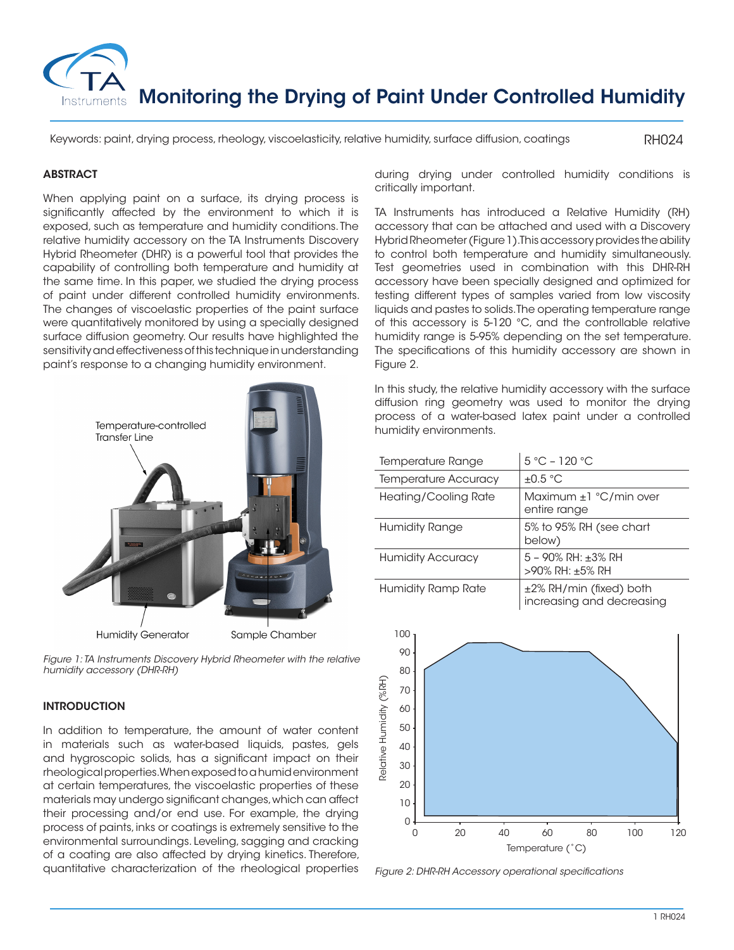

Keywords: paint, drying process, rheology, viscoelasticity, relative humidity, surface diffusion, coatings

RH024

# **ABSTRACT**

When applying paint on a surface, its drying process is significantly affected by the environment to which it is exposed, such as temperature and humidity conditions. The relative humidity accessory on the TA Instruments Discovery Hybrid Rheometer (DHR) is a powerful tool that provides the capability of controlling both temperature and humidity at the same time. In this paper, we studied the drying process of paint under different controlled humidity environments. The changes of viscoelastic properties of the paint surface were quantitatively monitored by using a specially designed surface diffusion geometry. Our results have highlighted the sensitivity and effectiveness of this technique in understanding paint's response to a changing humidity environment.



*Figure 1: TA Instruments Discovery Hybrid Rheometer with the relative humidity accessory (DHR-RH)*

## **INTRODUCTION**

In addition to temperature, the amount of water content in materials such as water-based liquids, pastes, gels and hygroscopic solids, has a significant impact on their rheological properties. When exposed to a humid environment at certain temperatures, the viscoelastic properties of these materials may undergo significant changes, which can affect their processing and/or end use. For example, the drying process of paints, inks or coatings is extremely sensitive to the environmental surroundings. Leveling, sagging and cracking of a coating are also affected by drying kinetics. Therefore, quantitative characterization of the rheological properties during drying under controlled humidity conditions is critically important.

TA Instruments has introduced a Relative Humidity (RH) accessory that can be attached and used with a Discovery Hybrid Rheometer (Figure 1). This accessory provides the ability to control both temperature and humidity simultaneously. Test geometries used in combination with this DHR-RH accessory have been specially designed and optimized for testing different types of samples varied from low viscosity liquids and pastes to solids. The operating temperature range of this accessory is 5-120 °C, and the controllable relative humidity range is 5-95% depending on the set temperature. The specifications of this humidity accessory are shown in Figure 2.

In this study, the relative humidity accessory with the surface diffusion ring geometry was used to monitor the drying process of a water-based latex paint under a controlled humidity environments.

| <b>Temperature Range</b>    | $5 °C - 120 °C$                                      |
|-----------------------------|------------------------------------------------------|
| <b>Temperature Accuracy</b> | $\pm 0.5$ °C                                         |
| Heating/Cooling Rate        | Maximum $\pm 1$ °C/min over<br>entire range          |
| Humidity Range              | 5% to 95% RH (see chart<br>below)                    |
| <b>Humidity Accuracy</b>    | $5 - 90\%$ RH: $\pm 3\%$ RH<br>>90% RH: ±5% RH       |
| <b>Humidity Ramp Rate</b>   | ±2% RH/min (fixed) both<br>increasing and decreasing |



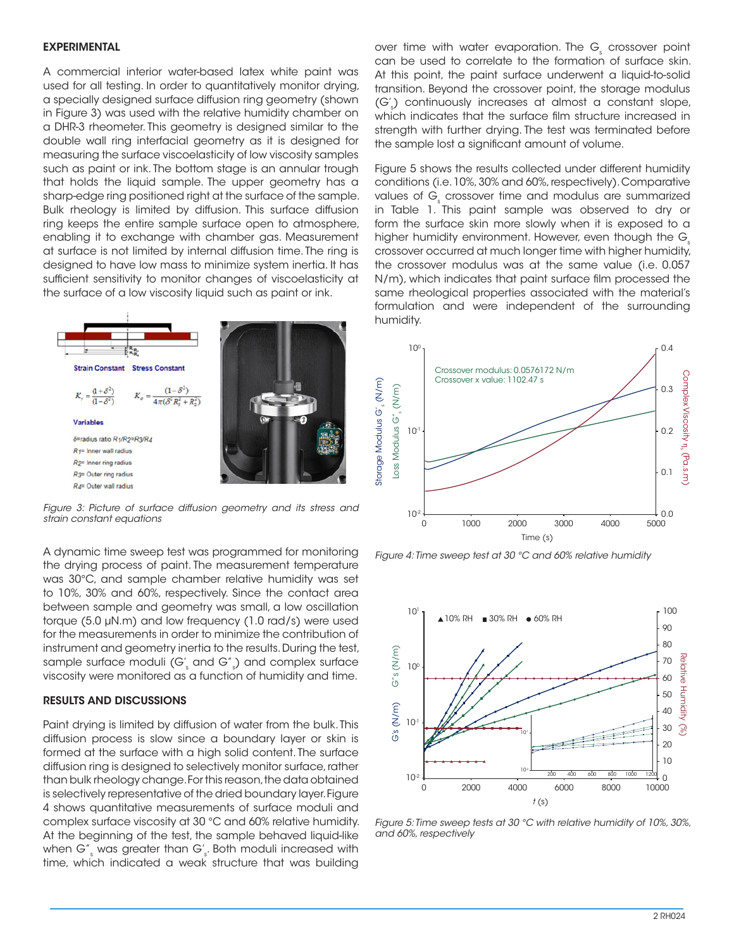#### EXPERIMENTAL

A commercial interior water-based latex white paint was used for all testing. In order to quantitatively monitor drying, a specially designed surface diffusion ring geometry (shown in Figure 3) was used with the relative humidity chamber on a DHR-3 rheometer. This geometry is designed similar to the double wall ring interfacial geometry as it is designed for measuring the surface viscoelasticity of low viscosity samples such as paint or ink. The bottom stage is an annular trough that holds the liquid sample. The upper geometry has a sharp-edge ring positioned right at the surface of the sample. Bulk rheology is limited by diffusion. This surface diffusion ring keeps the entire sample surface open to atmosphere, enabling it to exchange with chamber gas. Measurement at surface is not limited by internal diffusion time. The ring is designed to have low mass to minimize system inertia. It has sufficient sensitivity to monitor changes of viscoelasticity at the surface of a low viscosity liquid such as paint or ink.



*Figure 3: Picture of surface diffusion geometry and its stress and strain constant equations*

A dynamic time sweep test was programmed for monitoring the drying process of paint. The measurement temperature was 30°C, and sample chamber relative humidity was set to 10%, 30% and 60%, respectively. Since the contact area between sample and geometry was small, a low oscillation torque (5.0 µN.m) and low frequency (1.0 rad/s) were used for the measurements in order to minimize the contribution of instrument and geometry inertia to the results. During the test, sample surface moduli (G' $_{\textrm{\tiny{s}}}$  and G''  $_{\textrm{\tiny{s}}}$ ) and complex surface viscosity were monitored as a function of humidity and time.

### RESULTS AND DISCUSSIONS

Paint drying is limited by diffusion of water from the bulk. This diffusion process is slow since a boundary layer or skin is formed at the surface with a high solid content. The surface diffusion ring is designed to selectively monitor surface, rather than bulk rheology change. For this reason, the data obtained is selectively representative of the dried boundary layer. Figure 4 shows quantitative measurements of surface moduli and complex surface viscosity at 30 °C and 60% relative humidity. At the beginning of the test, the sample behaved liquid-like when G" $_{\rm s}$  was greater than G' $_{\rm s}$ . Both moduli increased with time, which indicated a weak structure that was building

over time with water evaporation. The  $\mathsf{G}_{\underline{\mathsf{s}}}$  crossover point can be used to correlate to the formation of surface skin. At this point, the paint surface underwent a liquid-to-solid transition. Beyond the crossover point, the storage modulus (G's ) continuously increases at almost a constant slope, which indicates that the surface film structure increased in strength with further drying. The test was terminated before the sample lost a significant amount of volume.

Figure 5 shows the results collected under different humidity conditions (i.e. 10%, 30% and 60%, respectively). Comparative values of  $\mathsf{G}_{\mathrm{s}}$  crossover time and modulus are summarized in Table 1. This paint sample was observed to dry or form the surface skin more slowly when it is exposed to a higher humidity environment. However, even though the G<sub>s</sub> crossover occurred at much longer time with higher humidity, the crossover modulus was at the same value (i.e. 0.057 N/m), which indicates that paint surface film processed the same rheological properties associated with the material's formulation and were independent of the surrounding humidity.



*Figure 4: Time sweep test at 30 °C and 60% relative humidity*



*Figure 5: Time sweep tests at 30 °C with relative humidity of 10%, 30%, and 60%, respectively*